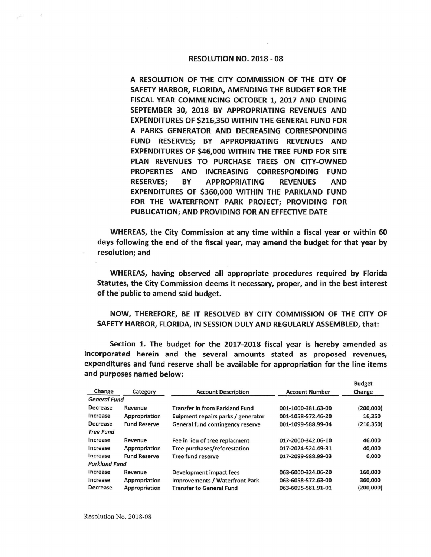## RESOLUTION NO. 2018 - 08

A RESOLUTION OF THE CITY COMMISSION OF THE CITY OF SAFETY HARBOR, FLORIDA, AMENDING THE BUDGET FOR THE FISCAL YEAR COMMENCING OCTOBER 1, 2017 AND ENDING SEPTEMBER 30, 2018 BY APPROPRIATING REVENUES AND **EXPENDITURES OF \$216,350 WITHIN** THE **GENERAL FUND FOR A PARKS GENERATOR AND** DECREASING **CORRESPONDING FUND RESERVES; BY APPROPRIATING REVENUES AND EXPENDITURES** OF **\$46,000 WITHIN** THE **TREE FUND FOR SITE**  PLAN REVENUES TO **PURCHASE** TREES **ON CITY-OWNED**  PROPERTIES **AND INCREASING CORRESPONDING** FUND **RESERVES; BY APPROPRIATING REVENUES AND EXPENDITURES** OF **\$360,000 WITHIN THE PARKLAND FUND**  FOR THE **WATERFRONT PARK PROJECT; PROVIDING FOR PUBLICATION; AND PROVIDING FOR AN EFFECTIVE DATE** 

WHEREAS, the City Commission at any time within a fiscal year or within 60 days following the end of the fiscal year, may amend the budget for that year by resolution; and

WHEREAS, having observed all appropriate procedures required by Florida Statutes, the City Commission deems it necessary, proper, and in the best interest of the public to amend said budget.

**NOW,** THEREFORE, BE IT RESOLVED BY CITY **COMMISSION** OF THE CITY OF SAFETY HARBOR, FLORIDA, IN SESSION DULY AND REGULARLY ASSEMBLED, that:

Section 1. The budget for the 2017-2018 fiscal year is hereby amended as incorporated herein and the several amounts stated as proposed revenues, expenditures and fund reserve shall be available for appropriation for the line items and purposes named below:

Budget

| Change               | Category            | <b>Account Description</b>            | <b>Account Number</b> | Change     |
|----------------------|---------------------|---------------------------------------|-----------------------|------------|
| <b>General Fund</b>  |                     |                                       |                       |            |
| Decrease             | Revenue             | <b>Transfer in from Parkland Fund</b> | 001-1000-381.63-00    | (200,000)  |
| Increase             | Appropriation       | Euipment repairs parks / generator    | 001-1058-572.46-20    | 16,350     |
| Decrease             | <b>Fund Reserve</b> | General fund contingency reserve      | 001-1099-588.99-04    | (216, 350) |
| <b>Tree Fund</b>     |                     |                                       |                       |            |
| Increase             | Revenue             | Fee in lieu of tree replacment        | 017-2000-342.06-10    | 46,000     |
| Increase             | Appropriation       | Tree purchases/reforestation          | 017-2024-524.49-31    | 40,000     |
| Increase             | <b>Fund Reserve</b> | Tree fund reserve                     | 017-2099-588.99-03    | 6,000      |
| <b>Parkland Fund</b> |                     |                                       |                       |            |
| Increase             | Revenue             | Development impact fees               | 063-6000-324.06-20    | 160,000    |
| Increase             | Appropriation       | <b>Improvements / Waterfront Park</b> | 063-6058-572.63-00    | 360,000    |
| Decrease             | Appropriation       | <b>Transfer to General Fund</b>       | 063-6095-581.91-01    | (200,000)  |
|                      |                     |                                       |                       |            |